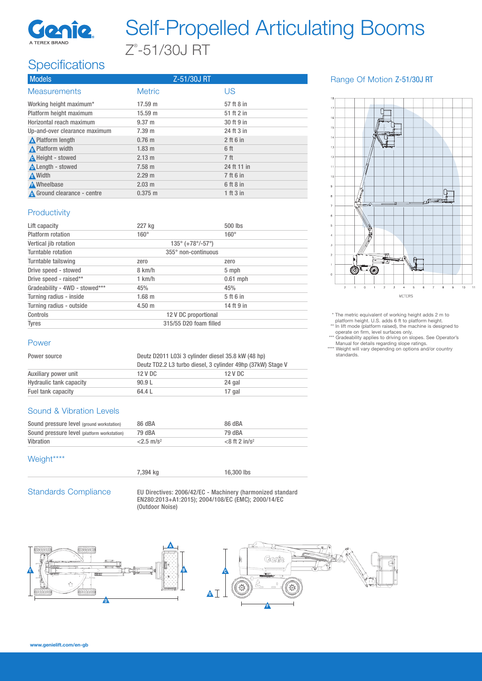

# Self-Propelled Articulating Booms Z ® -51/30J RT

## **Specifications**

| <b>Models</b>                 | Z-51/30J RT      |                 |
|-------------------------------|------------------|-----------------|
| <b>Measurements</b>           | <b>Metric</b>    | US              |
| Working height maximum*       | 17.59 m          | 57 ft 8 in      |
| Platform height maximum       | 15.59 m          | 51 ft 2 in      |
| Horizontal reach maximum      | $9.37 \text{ m}$ | 30 ft 9 in      |
| Up-and-over clearance maximum | 7.39 m           | 24 ft 3 in      |
| <b>A</b> Platform length      | $0.76$ m         | $2$ ft 6 in     |
| A Platform width              | $1.83 \text{ m}$ | 6 ft            |
| A Height - stowed             | $2.13 \text{ m}$ | 7 <sub>ft</sub> |
| <b>A</b> Length - stowed      | $7.58 \text{ m}$ | 24 ft 11 in     |
| <b>A</b> Width                | 2.29 m           | 7 ft 6 in       |
| <b>A</b> Wheelbase            | $2.03 \text{ m}$ | 6 ft 8 in       |
| A Ground clearance - centre   | $0.375 \; m$     | 1 ft 3 in       |

## Range Of Motion Z-51/30J RT



\* The metric equivalent of working height adds 2 m to platform height. U.S. adds 6 ft to platform height. \*\* In lift mode (platform raised), the machine is designed to operate on firm, level surfaces only.

 \*\*\* Gradeability applies to driving on slopes. See Operator's Manual for details regarding slope ratings. \*\*\*\* Weight will vary depending on options and/or country

standards.

#### **Productivity**

| Lift capacity                  | 227 kg                 | $500$ lbs                                       |  |
|--------------------------------|------------------------|-------------------------------------------------|--|
| Platform rotation              | $160^\circ$            | $160^\circ$                                     |  |
| Vertical jib rotation          |                        | $135^{\circ}$ (+78 $^{\circ}$ /-57 $^{\circ}$ ) |  |
| Turntable rotation             | 355° non-continuous    |                                                 |  |
| Turntable tailswing            | zero                   | zero                                            |  |
| Drive speed - stowed           | 8 km/h                 | 5 mph                                           |  |
| Drive speed - raised**         | 1 km/h                 | $0.61$ mph                                      |  |
| Gradeability - 4WD - stowed*** | 45%                    | 45%                                             |  |
| Turning radius - inside        | 1.68 m                 | 5 ft 6 in                                       |  |
| Turning radius - outside       | $4.50 \;{\rm m}$       | 14 ft 9 in                                      |  |
| Controls                       | 12 V DC proportional   |                                                 |  |
| <b>Tyres</b>                   | 315/55 D20 foam filled |                                                 |  |

#### Power

| Power source            |         | Deutz D2011 L03i 3 cylinder diesel 35.8 kW (48 hp)<br>Deutz TD2.2 L3 turbo diesel, 3 cylinder 49hp (37kW) Stage V |  |  |
|-------------------------|---------|-------------------------------------------------------------------------------------------------------------------|--|--|
|                         |         |                                                                                                                   |  |  |
| Auxiliary power unit    | 12 V DC | 12 V DC                                                                                                           |  |  |
| Hydraulic tank capacity | 90.9L   | 24 gal                                                                                                            |  |  |
| Fuel tank capacity      | 64.4 L  | 17 gal                                                                                                            |  |  |

#### Sound & Vibration Levels

| Sound pressure level (ground workstation)   | 86 dBA                   | 86 dBA                       |
|---------------------------------------------|--------------------------|------------------------------|
| Sound pressure level (platform workstation) | 79 dBA                   | 79 dBA                       |
| Vibration                                   | $<$ 2.5 m/s <sup>2</sup> | $<$ 8 ft 2 in/s <sup>2</sup> |

#### Weight\*\*\*\*

7,394 kg 16,300 lbs

Standards Compliance EU Directives: 2006/42/EC - Machinery (harmonized standard EN280:2013+A1:2015); 2004/108/EC (EMC); 2000/14/EC (Outdoor Noise)